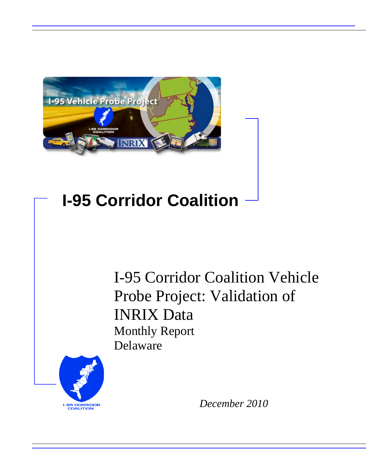

# **I-95 Corridor Coalition**

I-95 Corridor Coalition Vehicle Probe Project: Validation of INRIX Data Monthly Report Delaware



*December 2010*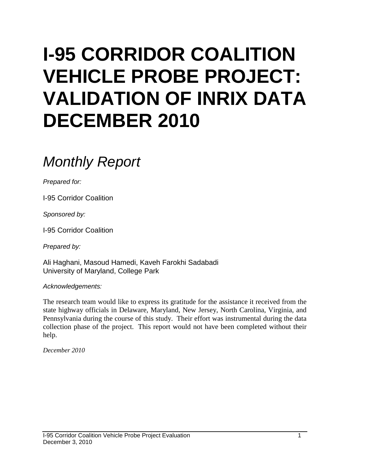# **I-95 CORRIDOR COALITION VEHICLE PROBE PROJECT: VALIDATION OF INRIX DATA DECEMBER 2010**

# *Monthly Report*

*Prepared for:*

I-95 Corridor Coalition

*Sponsored by:*

I-95 Corridor Coalition

*Prepared by:*

Ali Haghani, Masoud Hamedi, Kaveh Farokhi Sadabadi University of Maryland, College Park

*Acknowledgements:*

The research team would like to express its gratitude for the assistance it received from the state highway officials in Delaware, Maryland, New Jersey, North Carolina, Virginia, and Pennsylvania during the course of this study. Their effort was instrumental during the data collection phase of the project. This report would not have been completed without their help.

*December 2010*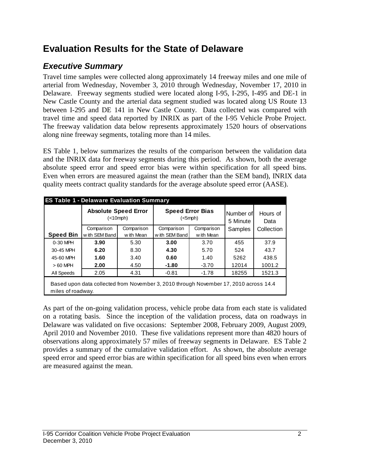# **Evaluation Results for the State of Delaware**

## *Executive Summary*

Travel time samples were collected along approximately 14 freeway miles and one mile of arterial from Wednesday, November 3, 2010 through Wednesday, November 17, 2010 in Delaware. Freeway segments studied were located along I-95, I-295, I-495 and DE-1 in New Castle County and the arterial data segment studied was located along US Route 13 between I-295 and DE 141 in New Castle County. Data collected was compared with travel time and speed data reported by INRIX as part of the I-95 Vehicle Probe Project. The freeway validation data below represents approximately 1520 hours of observations along nine freeway segments, totaling more than 14 miles.

ES Table 1, below summarizes the results of the comparison between the validation data and the INRIX data for freeway segments during this period. As shown, both the average absolute speed error and speed error bias were within specification for all speed bins. Even when errors are measured against the mean (rather than the SEM band), INRIX data quality meets contract quality standards for the average absolute speed error (AASE).

|                   | <b>Absolute Speed Error</b><br>( <sub>10</sub> mph)                                   |            | <b>Speed Error Bias</b><br>$(<5$ mph $)$ |            | Number of<br>5 Minute | Hours of<br>Data |
|-------------------|---------------------------------------------------------------------------------------|------------|------------------------------------------|------------|-----------------------|------------------|
|                   | Comparison                                                                            | Comparison | Comparison                               | Comparison | Samples               | Collection       |
| <b>Speed Bin</b>  | with SEM Band                                                                         | w ith Mean | with SEM Band                            | w ith Mean |                       |                  |
| 0-30 MPH          | 3.90                                                                                  | 5.30       | 3.00                                     | 3.70       | 455                   | 37.9             |
| 30-45 MPH         | 6.20                                                                                  | 8.30       | 4.30                                     | 5.70       | 524                   | 43.7             |
| 45-60 MPH         | 1.60                                                                                  | 3.40       | 0.60                                     | 1.40       | 5262                  | 438.5            |
| $>60$ MPH         | 2.00                                                                                  | 4.50       | $-1.80$                                  | $-3.70$    | 12014                 | 1001.2           |
| All Speeds        | 2.05                                                                                  | 4.31       | $-0.81$                                  | $-1.78$    | 18255                 | 1521.3           |
| miles of roadway. | Based upon data collected from November 3, 2010 through November 17, 2010 across 14.4 |            |                                          |            |                       |                  |

As part of the on-going validation process, vehicle probe data from each state is validated on a rotating basis. Since the inception of the validation process, data on roadways in Delaware was validated on five occasions: September 2008, February 2009, August 2009, April 2010 and November 2010. These five validations represent more than 4820 hours of observations along approximately 57 miles of freeway segments in Delaware. ES Table 2 provides a summary of the cumulative validation effort. As shown, the absolute average speed error and speed error bias are within specification for all speed bins even when errors are measured against the mean.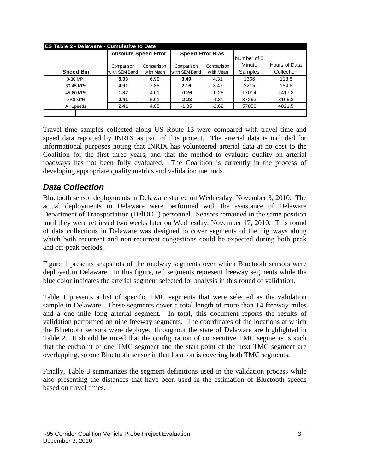| <b>Absolute Speed Error</b> |            |                          | <b>Speed Error Bias</b> |             |               |
|-----------------------------|------------|--------------------------|-------------------------|-------------|---------------|
|                             |            |                          |                         | Number of 5 |               |
| Comparison<br>Comparison    |            | Comparison<br>Comparison |                         | Minute      | Hours of Data |
| with SEM Band               | w ith Mean | with SEM Band            | w ith Mean              | Samples     | Collection    |
| 5.33                        | 6.99       | 3.49                     | 4.31                    | 1366        | 113.8         |
| 4.91                        | 7.38       | 2.16                     | 3.47                    | 2215        | 184.6         |
| 1.87                        | 4.01       | $-0.26$                  | $-0.26$                 | 17014       | 1417.8        |
| 2.41                        | 5.01       | $-2.23$                  | $-4.31$                 | 37263       | 3105.3        |
| 2.41                        | 4.85       | $-1.35$                  | $-2.62$                 | 57858       | 4821.5        |
|                             |            |                          |                         |             |               |

Travel time samples collected along US Route 13 were compared with travel time and speed data reported by INRIX as part of this project. The arterial data is included for informational purposes noting that INRIX has volunteered arterial data at no cost to the Coalition for the first three years, and that the method to evaluate quality on arterial roadways has not been fully evaluated. The Coalition is currently in the process of developing appropriate quality metrics and validation methods.

### *Data Collection*

Bluetooth sensor deployments in Delaware started on Wednesday, November 3, 2010. The actual deployments in Delaware were performed with the assistance of Delaware Department of Transportation (DelDOT) personnel. Sensors remained in the same position until they were retrieved two weeks later on Wednesday, November 17, 2010. This round of data collections in Delaware was designed to cover segments of the highways along which both recurrent and non-recurrent congestions could be expected during both peak and off-peak periods.

Figure 1 presents snapshots of the roadway segments over which Bluetooth sensors were deployed in Delaware. In this figure, red segments represent freeway segments while the blue color indicates the arterial segment selected for analysis in this round of validation.

Table 1 presents a list of specific TMC segments that were selected as the validation sample in Delaware. These segments cover a total length of more than 14 freeway miles and a one mile long arterial segment. In total, this document reports the results of validation performed on nine freeway segments. The coordinates of the locations at which the Bluetooth sensors were deployed throughout the state of Delaware are highlighted in Table 2. It should be noted that the configuration of consecutive TMC segments is such that the endpoint of one TMC segment and the start point of the next TMC segment are overlapping, so one Bluetooth sensor in that location is covering both TMC segments.

Finally, Table 3 summarizes the segment definitions used in the validation process while also presenting the distances that have been used in the estimation of Bluetooth speeds based on travel times.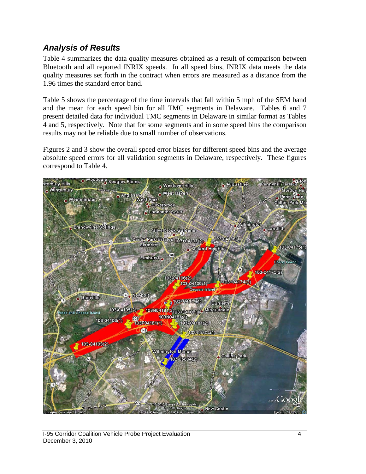#### *Analysis of Results*

Table 4 summarizes the data quality measures obtained as a result of comparison between Bluetooth and all reported INRIX speeds. In all speed bins, INRIX data meets the data quality measures set forth in the contract when errors are measured as a distance from the 1.96 times the standard error band.

Table 5 shows the percentage of the time intervals that fall within 5 mph of the SEM band and the mean for each speed bin for all TMC segments in Delaware. Tables 6 and 7 present detailed data for individual TMC segments in Delaware in similar format as Tables 4 and 5, respectively. Note that for some segments and in some speed bins the comparison results may not be reliable due to small number of observations.

Figures 2 and 3 show the overall speed error biases for different speed bins and the average absolute speed errors for all validation segments in Delaware, respectively. These figures correspond to Table 4.

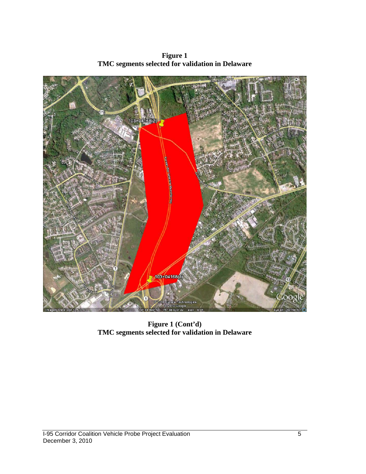

**Figure 1 TMC segments selected for validation in Delaware**

**Figure 1 (Cont'd) TMC segments selected for validation in Delaware**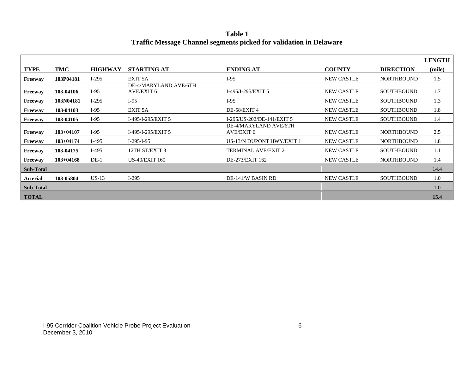|                  |               |                |                                     |                                     |                   |                   | <b>LENGTH</b> |
|------------------|---------------|----------------|-------------------------------------|-------------------------------------|-------------------|-------------------|---------------|
| TYPE             | TMC           | <b>HIGHWAY</b> | <b>STARTING AT</b>                  | <b>ENDING AT</b>                    | <b>COUNTY</b>     | <b>DIRECTION</b>  | (mile)        |
| Freewav          | 103P04181     | $I-295$        | EXIT <sub>5</sub> A                 | $I-95$                              | <b>NEW CASTLE</b> | <b>NORTHBOUND</b> | 1.5           |
| Freeway          | 103-04106     | $I-95$         | DE-4/MARYLAND AVE/6TH<br>AVE/EXIT 6 | I-495/I-295/EXIT 5                  | <b>NEW CASTLE</b> | <b>SOUTHBOUND</b> | 1.7           |
| <b>Freeway</b>   | 103N04181     | $I-295$        | $I-95$                              | $I-95$                              | <b>NEW CASTLE</b> | <b>SOUTHBOUND</b> | 1.3           |
| Freeway          | 103-04103     | $I-95$         | EXIT 5A                             | DE-58/EXIT 4                        | <b>NEW CASTLE</b> | <b>SOUTHBOUND</b> | 1.8           |
| Freeway          | 103-04105     | $I-95$         | I-495/I-295/EXIT 5                  | I-295/US-202/DE-141/EXIT 5          | <b>NEW CASTLE</b> | <b>SOUTHBOUND</b> | 1.4           |
| Freeway          | $103 + 04107$ | $I-95$         | I-495/I-295/EXIT 5                  | DE-4/MARYLAND AVE/6TH<br>AVE/EXIT 6 | <b>NEW CASTLE</b> | <b>NORTHBOUND</b> | 2.5           |
| Freeway          | $103+04174$   | $I-495$        | $I-295/I-95$                        | US-13/N DUPONT HWY/EXIT 1           | <b>NEW CASTLE</b> | <b>NORTHBOUND</b> | 1.8           |
| Freeway          | 103-04175     | $I-495$        | 12TH ST/EXIT 3                      | <b>TERMINAL AVE/EXIT 2</b>          | <b>NEW CASTLE</b> | <b>SOUTHBOUND</b> | 1.1           |
| Freeway          | $103 + 04168$ | $DE-1$         | <b>US-40/EXIT 160</b>               | DE-273/EXIT 162                     | <b>NEW CASTLE</b> | <b>NORTHBOUND</b> | 1.4           |
| <b>Sub-Total</b> |               |                |                                     |                                     |                   |                   | 14.4          |
| Arterial         | 103-05804     | $US-13$        | $I-295$                             | DE-141/W BASIN RD                   | <b>NEW CASTLE</b> | <b>SOUTHBOUND</b> | 1.0           |
| Sub-Total        |               |                |                                     |                                     |                   |                   | 1.0           |
| <b>TOTAL</b>     |               |                |                                     |                                     |                   |                   | 15.4          |

**Table 1 Traffic Message Channel segments picked for validation in Delaware**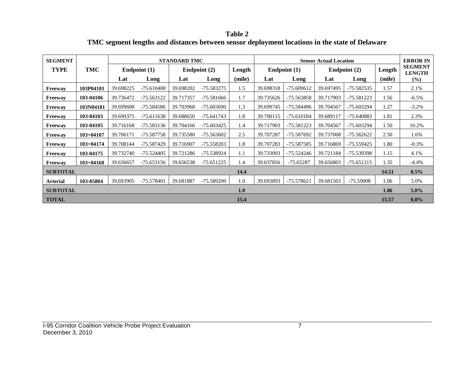**Table 2 TMC segment lengths and distances between sensor deployment locations in the state of Delaware**

| <b>SEGMENT</b>  |               |           |              | <b>STANDARD TMC</b> |                |        |           |                | <b>Sensor Actual Location</b> |              |        | <b>ERROR IN</b>                 |
|-----------------|---------------|-----------|--------------|---------------------|----------------|--------|-----------|----------------|-------------------------------|--------------|--------|---------------------------------|
| <b>TYPE</b>     | TMC           |           | Endpoint (1) |                     | Endpoint $(2)$ | Length |           | Endpoint $(1)$ |                               | Endpoint (2) | Length | <b>SEGMENT</b><br><b>LENGTH</b> |
|                 |               | Lat       | Long         | Lat                 | Long           | (mile) | Lat       | Long           | Lat                           | Long         | (mile) | $(\%)$                          |
| Freeway         | 103P04181     | 39.698225 | $-75.610400$ | 39.698202           | -75.583275     | 1.5    | 39.698318 | -75.609612     | 39.697495                     | -75.582535   | 1.57   | 2.1%                            |
| Freeway         | 103-04106     | 39.736472 | $-75.563122$ | 39.717357           | -75.581666     | 1.7    | 39.735626 | -75.563858     | 39.717903                     | -75.581223   | 1.56   | $-6.5\%$                        |
| Freeway         | 103N04181     | 39.699608 | -75.584586   | 39.703968           | -75.603690     | 1.3    | 39.699745 | -75.584496     | 39.704567                     | -75.603294   | 1.27   | $-3.2%$                         |
| Freeway         | 103-04103     | 39.699375 | $-75.611638$ | 39.688650           | $-75.641743$   | 1.8    | 39.700115 | -75.610184     | 39.689117                     | -75.640883   | 1.81   | 2.3%                            |
| Freeway         | 103-04105     | 39.716168 | $-75.583136$ | 39.704166           | $-75.603425$   | 1.4    | 39.717903 | -75.581223     | 39.704567                     | -75.603294   | 1.50   | 10.2%                           |
| Freeway         | $103 + 04107$ | 39.706171 | -75.587758   | 39.735580           | -75.563602     | 2.5    | 39.707287 | -75.587692     | 39.737068                     | -75.562622   | 2.50   | 1.6%                            |
| Freeway         | $103 + 04174$ | 39.708144 | -75.587429   | 39.716907           | -75.558203     | 1.8    | 39.707283 | -75.587585     | 39.716869                     | -75.559425   | 1.80   | $-0.3%$                         |
| Freeway         | 103-04175     | 39.732740 | $-75.524405$ | 39.721286           | -75.538924     | 1.1    | 39.733093 | -75.524246     | 39.721184                     | -75.539398   | 1.15   | 4.1%                            |
| Freeway         | $103 + 04168$ | 39.636657 | $-75.653156$ | 39.656538           | $-75.651225$   | 1.4    | 39.637856 | $-75.65287$    | 39.656803                     | -75.651215   | 1.35   | $-4.4\%$                        |
| <b>SUBTOTAL</b> |               |           |              |                     |                | 14.4   |           |                |                               |              | 14.51  | 0.5%                            |
| <b>Arterial</b> | 103-05804     | 39.693905 | $-75.578401$ | 39.681887           | -75.589200     | 1.0    | 39.693893 | -75.578621     | 39.681503                     | -75.59008    | 1.06   | 5.0%                            |
| <b>SUBTOTAL</b> |               |           |              |                     |                | 1.0    |           |                |                               |              | 1.06   | $5.0\%$                         |
| <b>TOTAL</b>    |               |           |              |                     |                | 15.4   |           |                |                               |              | 15.57  | 0.8%                            |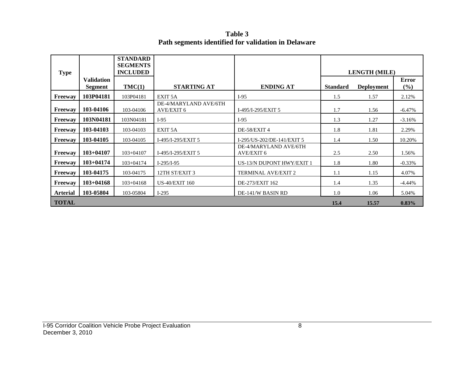**Table 3 Path segments identified for validation in Delaware**

| <b>Type</b>     |                              | <b>STANDARD</b><br><b>SEGMENTS</b><br><b>INCLUDED</b> |                                     |                                            |                 | <b>LENGTH (MILE)</b> |                     |
|-----------------|------------------------------|-------------------------------------------------------|-------------------------------------|--------------------------------------------|-----------------|----------------------|---------------------|
|                 | <b>Validation</b><br>Segment | TMC(1)                                                | <b>STARTING AT</b>                  | <b>ENDING AT</b>                           | <b>Standard</b> | <b>Deployment</b>    | <b>Error</b><br>(%) |
| Freeway         | 103P04181                    | 103P04181                                             | EXIT <sub>5</sub> A                 | $I-95$                                     | 1.5             | 1.57                 | 2.12%               |
| Freeway         | 103-04106                    | 103-04106                                             | DE-4/MARYLAND AVE/6TH<br>AVE/EXIT 6 | I-495/I-295/EXIT 5                         | 1.7             | 1.56                 | $-6.47\%$           |
| <b>Freeway</b>  | 103N04181                    | 103N04181                                             | $I-95$                              | $I-95$                                     | 1.3             | 1.27                 | $-3.16%$            |
| <b>Freeway</b>  | 103-04103                    | 103-04103                                             | EXIT <sub>5</sub> A                 | DE-58/EXIT 4                               | 1.8             | 1.81                 | 2.29%               |
| <b>Freeway</b>  | 103-04105                    | 103-04105                                             | I-495/I-295/EXIT 5                  | I-295/US-202/DE-141/EXIT 5                 | 1.4             | 1.50                 | 10.20%              |
| Freeway         | $103+04107$                  | $103 + 04107$                                         | I-495/I-295/EXIT 5                  | DE-4/MARYLAND AVE/6TH<br><b>AVE/EXIT 6</b> | 2.5             | 2.50                 | 1.56%               |
| <b>Freeway</b>  | $103+04174$                  | $103 + 04174$                                         | $I-295/I-95$                        | US-13/N DUPONT HWY/EXIT 1                  | 1.8             | 1.80                 | $-0.33%$            |
| <b>Freeway</b>  | 103-04175                    | 103-04175                                             | 12TH ST/EXIT 3                      | <b>TERMINAL AVE/EXIT 2</b>                 | 1.1             | 1.15                 | 4.07%               |
| Freeway         | $103+04168$                  | $103 + 04168$                                         | <b>US-40/EXIT 160</b>               | DE-273/EXIT 162                            | 1.4             | 1.35                 | $-4.44\%$           |
| <b>Arterial</b> | 103-05804                    | 103-05804                                             | $I-295$                             | DE-141/W BASIN RD                          | 1.0             | 1.06                 | 5.04%               |
| <b>TOTAL</b>    |                              |                                                       |                                     |                                            | 15.4            | 15.57                | 0.83%               |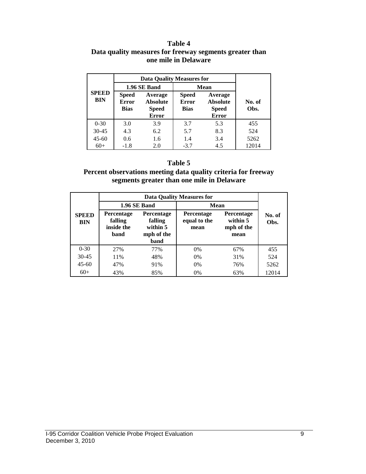#### **Table 4 Data quality measures for freeway segments greater than one mile in Delaware**

|                            |                                             | <b>Data Quality Measures for</b>                           |                                             |                                                            |                |
|----------------------------|---------------------------------------------|------------------------------------------------------------|---------------------------------------------|------------------------------------------------------------|----------------|
|                            |                                             | 1.96 SE Band                                               | <b>Mean</b>                                 |                                                            |                |
| <b>SPEED</b><br><b>BIN</b> | <b>Speed</b><br><b>Error</b><br><b>Bias</b> | Average<br><b>Absolute</b><br><b>Speed</b><br><b>Error</b> | <b>Speed</b><br><b>Error</b><br><b>Bias</b> | Average<br><b>Absolute</b><br><b>Speed</b><br><b>Error</b> | No. of<br>Obs. |
| $0 - 30$                   | 3.0                                         | 3.9                                                        | 3.7                                         | 5.3                                                        | 455            |
| $30 - 45$                  | 4.3                                         | 6.2                                                        | 5.7                                         | 8.3                                                        | 524            |
| $45 - 60$                  | 0.6                                         | 1.6                                                        | 1.4                                         | 3.4                                                        | 5262           |
| $60+$                      | $-1.8$                                      | 2.0                                                        | $-3.7$                                      | 4.5                                                        | 12014          |

#### **Table 5**

#### **Percent observations meeting data quality criteria for freeway segments greater than one mile in Delaware**

|                            |                                                    |                                                         | <b>Data Quality Measures for</b>          |                                              |                |  |
|----------------------------|----------------------------------------------------|---------------------------------------------------------|-------------------------------------------|----------------------------------------------|----------------|--|
|                            |                                                    | 1.96 SE Band                                            | Mean                                      |                                              |                |  |
| <b>SPEED</b><br><b>BIN</b> | <b>Percentage</b><br>falling<br>inside the<br>band | Percentage<br>falling<br>within 5<br>mph of the<br>band | <b>Percentage</b><br>equal to the<br>mean | Percentage<br>within 5<br>mph of the<br>mean | No. of<br>Obs. |  |
| $0 - 30$                   | 27%                                                | 77%                                                     | 0%                                        | 67%                                          | 455            |  |
| $30 - 45$                  | 11%                                                | 48%                                                     | $0\%$                                     | 31%                                          | 524            |  |
| $45 - 60$                  | 47%<br>91%                                         |                                                         | $0\%$                                     | 76%                                          | 5262           |  |
| $60+$                      | 43%                                                | 85%                                                     | 0%                                        | 63%                                          | 12014          |  |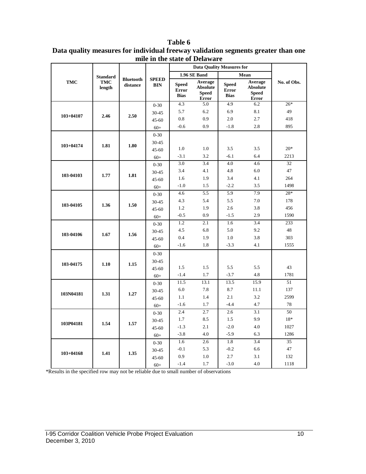|               |                      |                              |                            |                                             | <b>Data Quality Measures for</b>                           |                                             |                                                            |             |
|---------------|----------------------|------------------------------|----------------------------|---------------------------------------------|------------------------------------------------------------|---------------------------------------------|------------------------------------------------------------|-------------|
|               | <b>Standard</b>      |                              |                            |                                             | 1.96 SE Band                                               |                                             | Mean                                                       |             |
| <b>TMC</b>    | <b>TMC</b><br>length | <b>Bluetooth</b><br>distance | <b>SPEED</b><br><b>BIN</b> | <b>Speed</b><br><b>Error</b><br><b>Bias</b> | Average<br><b>Absolute</b><br><b>Speed</b><br><b>Error</b> | <b>Speed</b><br><b>Error</b><br><b>Bias</b> | Average<br><b>Absolute</b><br><b>Speed</b><br><b>Error</b> | No. of Obs. |
|               |                      |                              | $0 - 30$                   | 4.3                                         | 5.0                                                        | 4.9                                         | 6.2                                                        | $26*$       |
|               |                      |                              | 30-45                      | 5.7                                         | 6.2                                                        | 6.9                                         | 8.1                                                        | 49          |
| $103 + 04107$ | 2.46                 | 2.50                         | $45 - 60$                  | 0.8                                         | 0.9                                                        | 2.0                                         | 2.7                                                        | 418         |
|               |                      |                              | $60+$                      | $-0.6$                                      | 0.9                                                        | $-1.8$                                      | 2.8                                                        | 895         |
|               |                      |                              | $0 - 30$                   |                                             |                                                            |                                             |                                                            |             |
|               |                      |                              | $30 - 45$                  |                                             |                                                            |                                             |                                                            |             |
| 103+04174     | 1.81                 | 1.80                         | $45 - 60$                  | 1.0                                         | 1.0                                                        | 3.5                                         | 3.5                                                        | $20*$       |
|               |                      |                              | $60+$                      | $-3.1$                                      | 3.2                                                        | $-6.1$                                      | 6.4                                                        | 2213        |
|               |                      |                              | $0 - 30$                   | 3.0                                         | 3.4                                                        | 4.0                                         | 4.6                                                        | 32          |
| 103-04103     | 1.77                 | 1.81                         | 30-45                      | 3.4                                         | 4.1                                                        | 4.8                                         | 6.0                                                        | 47          |
|               |                      |                              | 45-60                      | 1.6                                         | 1.9                                                        | 3.4                                         | 4.1                                                        | 264         |
|               |                      |                              | $60+$                      | $-1.0$                                      | 1.5                                                        | $-2.2$                                      | 3.5                                                        | 1498        |
|               | 1.36                 |                              | $0 - 30$                   | 4.6                                         | 5.5                                                        | 5.9                                         | 7.9                                                        | 28*         |
|               |                      | 1.50                         | $30 - 45$                  | 4.3                                         | 5.4                                                        | 5.5                                         | 7.0                                                        | 178         |
| 103-04105     |                      |                              | $45 - 60$                  | 1.2                                         | 1.9                                                        | 2.6                                         | 3.8                                                        | 456         |
|               |                      |                              | $60+$                      | $-0.5$                                      | 0.9                                                        | $-1.5$                                      | 2.9                                                        | 1590        |
|               |                      | 1.56                         | $0 - 30$                   | 1.2                                         | 2.1                                                        | 1.6                                         | 3.4                                                        | 233         |
| 103-04106     | 1.67                 |                              | 30-45                      | 4.5                                         | 6.8                                                        | 5.0                                         | 9.2                                                        | 48          |
|               |                      |                              | $45 - 60$                  | 0.4                                         | 1.9                                                        | 1.0                                         | 3.8                                                        | 303         |
|               |                      |                              | $60+$                      | $-1.6$                                      | 1.8                                                        | $-3.3$                                      | 4.1                                                        | 1555        |
|               |                      |                              | $0 - 30$                   |                                             |                                                            |                                             |                                                            |             |
| 103-04175     | 1.10                 | 1.15                         | $30 - 45$                  |                                             |                                                            |                                             |                                                            |             |
|               |                      |                              | $45 - 60$                  | 1.5                                         | 1.5                                                        | 5.5                                         | 5.5                                                        | 43          |
|               |                      |                              | $60+$                      | $-1.4$                                      | 1.7                                                        | $-3.7$                                      | 4.8                                                        | 1781        |
|               |                      |                              | $0 - 30$                   | 11.5                                        | 13.1                                                       | 13.5                                        | 15.9                                                       | 51          |
| 103N04181     | 1.31                 | 1.27                         | $30 - 45$                  | 6.0                                         | 7.8                                                        | 8.7                                         | 11.1                                                       | 137         |
|               |                      |                              | 45-60                      | 1.1                                         | 1.4                                                        | 2.1                                         | 3.2                                                        | 2599        |
|               |                      |                              | $60+$                      | $-1.6$                                      | 1.7                                                        | $-4.4$                                      | 4.7                                                        | 78          |
|               |                      |                              | $0 - 30$                   | 2.4                                         | 2.7                                                        | 2.6                                         | 3.1                                                        | 50          |
|               | 1.54                 | 1.57                         | $30 - 45$                  | 1.7                                         | 8.5                                                        | 1.5                                         | 9.9                                                        | 18*         |
| 103P04181     |                      |                              | $45 - 60$                  | $-1.3$                                      | 2.1                                                        | $-2.0$                                      | 4.0                                                        | 1027        |
|               |                      |                              | $60+$                      | $-3.8$                                      | 4.0                                                        | $-5.9$                                      | 6.3                                                        | 1286        |
|               |                      |                              | $0 - 30$                   | 1.6                                         | 2.6                                                        | 1.8                                         | 3.4                                                        | 35          |
| $103 + 04168$ | 1.41                 | 1.35                         | 30-45                      | $-0.1$                                      | 5.3                                                        | $-0.2$                                      | 6.6                                                        | 47          |
|               |                      |                              | $45 - 60$                  | 0.9                                         | 1.0                                                        | 2.7                                         | 3.1                                                        | 132         |
|               |                      |                              | $60+$                      | $-1.4$                                      | 1.7                                                        | $-3.0$                                      | 4.0                                                        | 1118        |

#### **Table 6 Data quality measures for individual freeway validation segments greater than one mile in the state of Delaware**

\*Results in the specified row may not be reliable due to small number of observations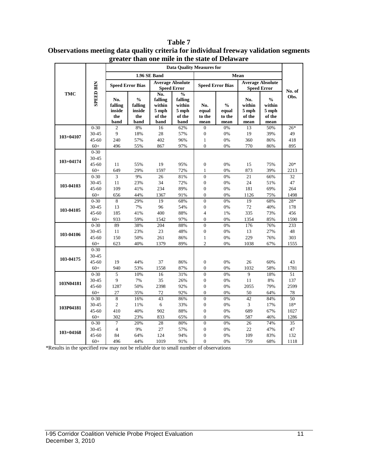|               |                   | gitatti               | than one nine in the state of Delaware<br><b>Data Quality Measures for</b> |              |                                               |                                |                                    |                        |                                               |            |  |  |
|---------------|-------------------|-----------------------|----------------------------------------------------------------------------|--------------|-----------------------------------------------|--------------------------------|------------------------------------|------------------------|-----------------------------------------------|------------|--|--|
|               |                   |                       |                                                                            |              |                                               |                                |                                    |                        |                                               |            |  |  |
|               |                   |                       |                                                                            | 1.96 SE Band |                                               |                                |                                    | Mean                   |                                               |            |  |  |
|               | <b>SPEED BIN</b>  |                       | <b>Speed Error Bias</b>                                                    |              | <b>Average Absolute</b><br><b>Speed Error</b> |                                | <b>Speed Error Bias</b>            |                        | <b>Average Absolute</b><br><b>Speed Error</b> |            |  |  |
| <b>TMC</b>    |                   |                       |                                                                            | No.          | $\frac{0}{0}$                                 |                                |                                    |                        |                                               | No. of     |  |  |
|               |                   | No.                   | $\frac{0}{0}$                                                              | falling      | falling                                       |                                |                                    | No.                    | $\mathbf{0}_{\mathbf{0}}^{\prime}$            | Obs.       |  |  |
|               |                   | falling               | falling                                                                    | within       | within                                        | No.                            | $\mathbf{0}_{\mathbf{0}}^{\prime}$ | within                 | within                                        |            |  |  |
|               |                   | inside                | inside                                                                     | 5 mph        | 5 mph                                         | equal                          | equal                              | 5 mph                  | 5 mph                                         |            |  |  |
|               |                   | the                   | the                                                                        | of the       | of the                                        | to the                         | to the                             | of the                 | of the                                        |            |  |  |
|               |                   | band                  | band                                                                       | band         | band                                          | mean                           | mean                               | mean                   | mean                                          |            |  |  |
|               | $0 - 30$          | $\mathfrak{2}$        | 8%                                                                         | 16           | 62%                                           | $\boldsymbol{0}$               | 0%                                 | 13                     | 50%                                           | $26*$      |  |  |
| $103 + 04107$ | 30-45             | 9                     | 18%                                                                        | 28           | 57%                                           | $\boldsymbol{0}$               | 0%                                 | 19                     | 39%                                           | 49         |  |  |
|               | 45-60             | 240                   | 57%                                                                        | 402          | 96%                                           | $\mathbf{1}$                   | 0%                                 | 360                    | 86%                                           | 418        |  |  |
|               | $60+$             | 496                   | 55%                                                                        | 867          | 97%                                           | $\theta$                       | 0%                                 | 770                    | 86%                                           | 895        |  |  |
|               | $0 - 30$          |                       |                                                                            |              |                                               |                                |                                    |                        |                                               |            |  |  |
| $103 + 04174$ | 30-45             |                       |                                                                            |              |                                               |                                |                                    |                        |                                               |            |  |  |
|               | 45-60             | 11                    | 55%                                                                        | 19           | 95%                                           | $\boldsymbol{0}$               | 0%                                 | 15                     | 75%                                           | $20*$      |  |  |
|               | $60+$<br>$0 - 30$ | 649<br>$\overline{3}$ | 29%<br>9%                                                                  | 1597<br>26   | 72%<br>81%                                    | $\mathbf{1}$<br>$\overline{0}$ | 0%<br>0%                           | 873<br>$\overline{21}$ | 39%                                           | 2213<br>32 |  |  |
|               | 30-45             | 11                    | 23%                                                                        | 34           | 72%                                           | $\boldsymbol{0}$               | 0%                                 | 24                     | 66%<br>51%                                    | 47         |  |  |
| 103-04103     | 45-60             | 109                   | 41%                                                                        | 234          | 89%                                           | $\boldsymbol{0}$               | 0%                                 | 181                    | 69%                                           | 264        |  |  |
|               | $60+$             | 656                   | 44%                                                                        | 1367         | 91%                                           | $\overline{0}$                 | 0%                                 | 1126                   | 75%                                           | 1498       |  |  |
|               | $0 - 30$          | 8                     | 29%                                                                        | 19           | 68%                                           | $\overline{0}$                 | 0%                                 | 19                     | 68%                                           | $28*$      |  |  |
|               | 30-45             | 13                    | 7%                                                                         | 96           | 54%                                           | $\boldsymbol{0}$               | 0%                                 | 72                     | 40%                                           | 178        |  |  |
| 103-04105     | $45 - 60$         | 185                   | 41%                                                                        | 400          | 88%                                           | $\overline{4}$                 | 1%                                 | 335                    | 73%                                           | 456        |  |  |
|               | $60+$             | 933                   | 59%                                                                        | 1542         | 97%                                           | $\boldsymbol{0}$               | 0%                                 | 1354                   | 85%                                           | 1590       |  |  |
|               | $0 - 30$          | 89                    | 38%                                                                        | 204          | 88%                                           | $\overline{0}$                 | 0%                                 | 176                    | 76%                                           | 233        |  |  |
|               | 30-45             | $11\,$                | 23%                                                                        | 23           | 48%                                           | $\boldsymbol{0}$               | $0\%$                              | 13                     | 27%                                           | 48         |  |  |
| 103-04106     | 45-60             | 150                   | 50%                                                                        | 261          | 86%                                           | $\mathbf{1}$                   | 0%                                 | 229                    | 76%                                           | 303        |  |  |
|               | $60+$             | 623                   | 40%                                                                        | 1379         | 89%                                           | $\overline{c}$                 | 0%                                 | 1038                   | 67%                                           | 1555       |  |  |
|               | $0 - 30$          |                       |                                                                            |              |                                               |                                |                                    |                        |                                               |            |  |  |
|               | 30-45             |                       |                                                                            |              |                                               |                                |                                    |                        |                                               |            |  |  |
| 103-04175     | 45-60             | 19                    | 44%                                                                        | 37           | 86%                                           | $\boldsymbol{0}$               | 0%                                 | 26                     | 60%                                           | 43         |  |  |
|               | $60+$             | 940                   | 53%                                                                        | 1558         | 87%                                           | $\boldsymbol{0}$               | 0%                                 | 1032                   | 58%                                           | 1781       |  |  |
|               | $0 - 30$          | 5                     | 10%                                                                        | 16           | 31%                                           | $\overline{0}$                 | 0%                                 | 9                      | 18%                                           | 51         |  |  |
|               | 30-45             | 9                     | 7%                                                                         | 35           | 26%                                           | $\boldsymbol{0}$               | 0%                                 | 11                     | 8%                                            | 137        |  |  |
| 103N04181     | $45 - 60$         | 1287                  | 50%                                                                        | 2398         | 92%                                           | $\overline{0}$                 | 0%                                 | 2055                   | 79%                                           | 2599       |  |  |
|               | $60+$             | 27                    | 35%                                                                        | 72           | 92%                                           | $\boldsymbol{0}$               | 0%                                 | 50                     | 64%                                           | 78         |  |  |
|               | $0 - 30$          | $\overline{8}$        | 16%                                                                        | 43           | 86%                                           | $\overline{0}$                 | 0%                                 | 42                     | 84%                                           | 50         |  |  |
|               | 30-45             | $\sqrt{2}$            | 11%                                                                        | 6            | 33%                                           | $\boldsymbol{0}$               | 0%                                 | 3                      | 17%                                           | 18*        |  |  |
| 103P04181     | 45-60             | 410                   | 40%                                                                        | 902          | 88%                                           | $\boldsymbol{0}$               | 0%                                 | 689                    | 67%                                           | 1027       |  |  |
|               | $60+$             | 302                   | 23%                                                                        | 833          | 65%                                           | $\overline{0}$                 | 0%                                 | 587                    | 46%                                           | 1286       |  |  |
|               | $0 - 30$          | 7                     | 20%                                                                        | 28           | 80%                                           | $\boldsymbol{0}$               | 0%                                 | 26                     | 74%                                           | 35         |  |  |
| $103 + 04168$ | 30-45             | $\overline{4}$        | 9%                                                                         | 27           | 57%                                           | $\boldsymbol{0}$               | 0%                                 | 22                     | 47%                                           | 47         |  |  |
|               | 45-60             | 84                    | 64%                                                                        | 124          | 94%                                           | $\boldsymbol{0}$               | 0%                                 | 109                    | 83%                                           | 132        |  |  |
|               | $60+$             | 496                   | 44%                                                                        | 1019         | 91%                                           | $\overline{0}$                 | 0%                                 | 759                    | 68%                                           | 1118       |  |  |

**Table 7 Observations meeting data quality criteria for individual freeway validation segments greater than one mile in the state of Delaware**

\*Results in the specified row may not be reliable due to small number of observations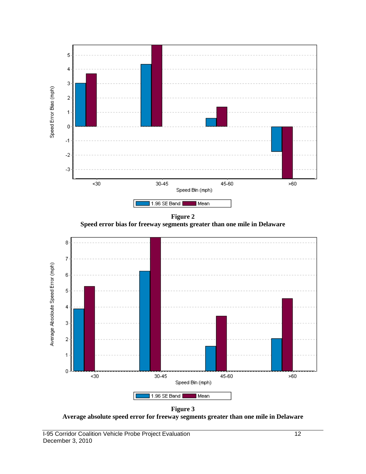

**Figure 3 Average absolute speed error for freeway segments greater than one mile in Delaware**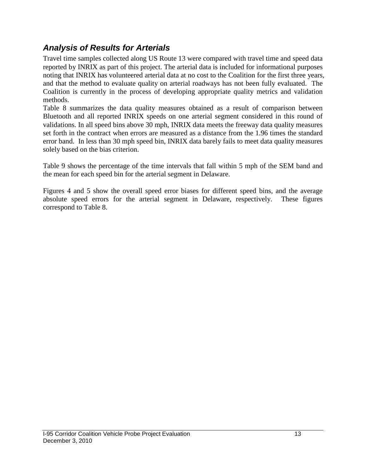### *Analysis of Results for Arterials*

Travel time samples collected along US Route 13 were compared with travel time and speed data reported by INRIX as part of this project. The arterial data is included for informational purposes noting that INRIX has volunteered arterial data at no cost to the Coalition for the first three years, and that the method to evaluate quality on arterial roadways has not been fully evaluated. The Coalition is currently in the process of developing appropriate quality metrics and validation methods.

Table 8 summarizes the data quality measures obtained as a result of comparison between Bluetooth and all reported INRIX speeds on one arterial segment considered in this round of validations. In all speed bins above 30 mph, INRIX data meets the freeway data quality measures set forth in the contract when errors are measured as a distance from the 1.96 times the standard error band. In less than 30 mph speed bin, INRIX data barely fails to meet data quality measures solely based on the bias criterion.

Table 9 shows the percentage of the time intervals that fall within 5 mph of the SEM band and the mean for each speed bin for the arterial segment in Delaware.

Figures 4 and 5 show the overall speed error biases for different speed bins, and the average absolute speed errors for the arterial segment in Delaware, respectively. These figures correspond to Table 8.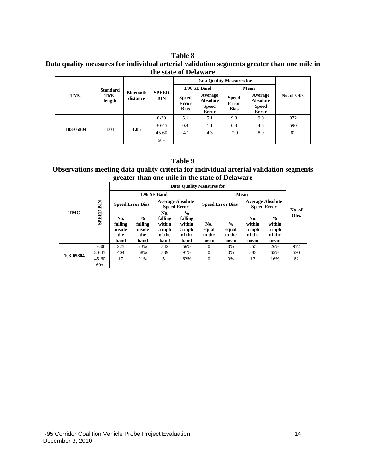**Table 8 Data quality measures for individual arterial validation segments greater than one mile in the state of Delaware**

|           |                 |                              | <b>SPEED</b><br><b>BIN</b> |                                      | <b>Data Quality Measures for</b>                           |                                      |                                                            |             |
|-----------|-----------------|------------------------------|----------------------------|--------------------------------------|------------------------------------------------------------|--------------------------------------|------------------------------------------------------------|-------------|
|           | <b>Standard</b> |                              |                            |                                      | 1.96 SE Band                                               |                                      | Mean                                                       |             |
| TMC       | TMC<br>length   | <b>Bluetooth</b><br>distance |                            | <b>Speed</b><br>Error<br><b>Bias</b> | Average<br><b>Absolute</b><br><b>Speed</b><br><b>Error</b> | <b>Speed</b><br>Error<br><b>Bias</b> | Average<br><b>Absolute</b><br><b>Speed</b><br><b>Error</b> | No. of Obs. |
|           | 1.01            | 1.06                         | $0 - 30$                   | 5.1                                  | 5.1                                                        | 9.8                                  | 9.9                                                        | 972         |
| 103-05804 |                 |                              | $30-45$                    | 0.4                                  | 1.1                                                        | 0.8                                  | 4.5                                                        | 590         |
|           |                 |                              | $45 - 60$                  | $-4.1$                               | 4.3                                                        | $-7.9$                               | 8.9                                                        | 82          |
|           |                 |                              | $60+$                      |                                      |                                                            |                                      |                                                            |             |

**Table 9 Observations meeting data quality criteria for individual arterial validation segments greater than one mile in the state of Delaware**

|            |           |                                         |                                                   |                                                     | <b>Data Quality Measures for</b>                              |                                |                                          |                                               |                                                    |                |
|------------|-----------|-----------------------------------------|---------------------------------------------------|-----------------------------------------------------|---------------------------------------------------------------|--------------------------------|------------------------------------------|-----------------------------------------------|----------------------------------------------------|----------------|
| <b>TMC</b> |           |                                         |                                                   | 1.96 SE Band                                        |                                                               |                                |                                          | Mean                                          |                                                    |                |
|            | BIN       | <b>Speed Error Bias</b>                 |                                                   | <b>Average Absolute</b><br><b>Speed Error</b>       |                                                               | <b>Speed Error Bias</b>        |                                          | <b>Average Absolute</b><br><b>Speed Error</b> |                                                    |                |
|            | SPEED     | No.<br>falling<br>inside<br>the<br>band | $\frac{0}{0}$<br>falling<br>inside<br>the<br>band | No.<br>falling<br>within<br>5 mph<br>of the<br>band | $\frac{0}{0}$<br>falling<br>within<br>5 mph<br>of the<br>band | No.<br>equal<br>to the<br>mean | $\frac{0}{0}$<br>equal<br>to the<br>mean | No.<br>within<br>5 mph<br>of the<br>mean      | $\frac{6}{6}$<br>within<br>5 mph<br>of the<br>mean | No. of<br>Obs. |
|            | $0 - 30$  | 225                                     | 23%                                               | 542                                                 | 56%                                                           | $\Omega$                       | 0%                                       | 255                                           | 26%                                                | 972            |
| 103-05804  | $30 - 45$ | 404                                     | 68%                                               | 539                                                 | 91%                                                           | $\Omega$                       | 0%                                       | 383                                           | 65%                                                | 590            |
|            | $45 - 60$ | 17                                      | 21%                                               | 51                                                  | 62%                                                           | $\Omega$                       | 0%                                       | 13                                            | 16%                                                | 82             |
|            | $60+$     |                                         |                                                   |                                                     |                                                               |                                |                                          |                                               |                                                    |                |